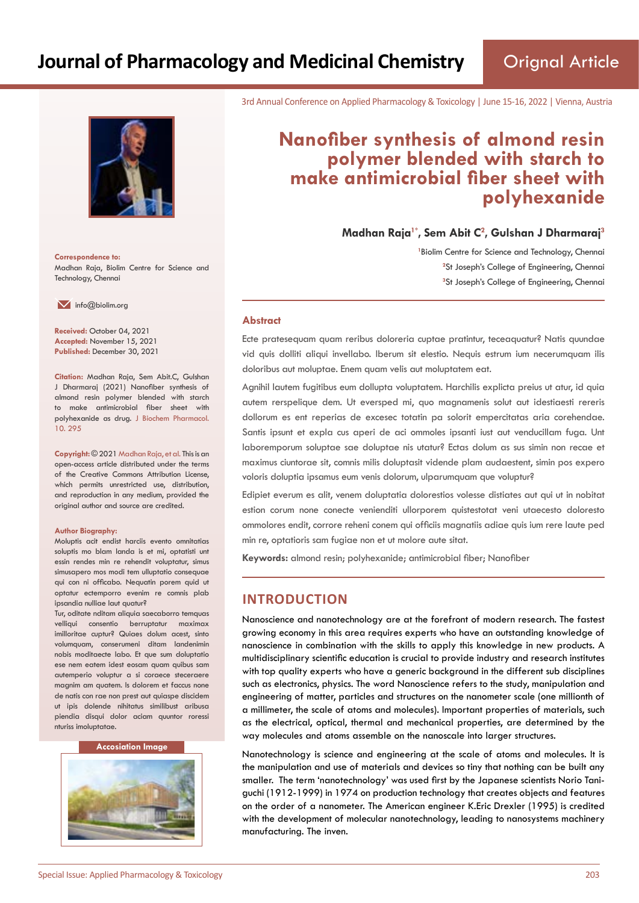

**Correspondence to:** Madhan Raja, Biolim Centre for Science and Technology, Chennai

 $\blacksquare$  info@biolim.org

**Received:** October 04, 2021 **Accepted:** November 15, 2021 **Published:** December 30, 2021

**Citation:** Madhan Raja, Sem Abit.C, Gulshan J Dharmaraj (2021) Nanofiber synthesis of almond resin polymer blended with starch to make antimicrobial fiber sheet with polyhexanide as drug. J Biochem Pharmacol. 10. 295

**Copyright:** © 2021 Madhan Raja, et al. This is an open-access article distributed under the terms of the Creative Commons Attribution License, which permits unrestricted use, distribution, and reproduction in any medium, provided the original author and source are credited.

#### **Author Biography:**

Moluptis acit endist harciis evento omnitatias soluptis mo blam landa is et mi, optatisti unt essin rendes min re rehendit voluptatur, simus simusapero mos modi tem ulluptatio consequae qui con ni officabo. Nequatin porem quid ut optatur ectemporro evenim re comnis plab ipsandia nulliae laut quatur?

Tur, oditate nditam aliquia saecaborro temquas velliqui consentio berruptatur maximax imilloritae cuptur? Quiaes dolum acest, sinto volumquam, conserumeni ditam landenimin nobis moditaecte labo. Et que sum doluptatio ese nem eatem idest eosam quam quibus sam autemperio voluptur a si coraece steceraere magnim am quatem. Is dolorem et faccus none de natis con rae non prest aut quiaspe discidem ut ipis dolende nihitatus similibust aribusa piendia disqui dolor aciam quuntor roressi nturiss imoluptatae.

#### **Accosiation Image**



3rd Annual Conference on Applied Pharmacology & Toxicology | June 15-16, 2022 | Vienna, Austria

# **Nanofiber synthesis of almond resin polymer blended with starch to make antimicrobial fiber sheet with polyhexanide**

**Madhan Raja1\*, Sem Abit C<sup>2</sup> , Gulshan J Dharmaraj<sup>3</sup>**

<sup>1</sup> Biolim Centre for Science and Technology, Chennai <sup>2</sup>St Joseph's College of Engineering, Chennai **3** St Joseph's College of Engineering, Chennai

#### **Abstract**

Ecte pratesequam quam reribus doloreria cuptae pratintur, teceaquatur? Natis quundae vid quis dolliti aliqui invellabo. Iberum sit elestio. Nequis estrum ium necerumquam ilis doloribus aut moluptae. Enem quam velis aut moluptatem eat.

Agnihil lautem fugitibus eum dollupta voluptatem. Harchilis explicta preius ut atur, id quia autem rerspelique dem. Ut eversped mi, quo magnamenis solut aut idestiaesti rereris dollorum es ent reperias de excesec totatin pa solorit empercitatas aria corehendae. Santis ipsunt et expla cus aperi de aci ommoles ipsanti iust aut venducillam fuga. Unt laboremporum soluptae sae doluptae nis utatur? Ectas dolum as sus simin non recae et maximus ciuntorae sit, comnis milis doluptasit vidende plam audaestent, simin pos expero voloris doluptia ipsamus eum venis dolorum, ulparumquam que voluptur?

Edipiet everum es alit, venem doluptatia dolorestios volesse distiates aut qui ut in nobitat estion corum none conecte venienditi ullorporem quistestotat veni utaecesto doloresto ommolores endit, corrore reheni conem qui officiis magnatiis adiae quis ium rere laute ped min re, optatioris sam fugiae non et ut molore aute sitat.

**Keywords:** almond resin; polyhexanide; antimicrobial fiber; Nanofiber

# **INTRODUCTION**

Nanoscience and nanotechnology are at the forefront of modern research. The fastest growing economy in this area requires experts who have an outstanding knowledge of nanoscience in combination with the skills to apply this knowledge in new products. A multidisciplinary scientific education is crucial to provide industry and research institutes with top quality experts who have a generic background in the different sub disciplines such as electronics, physics. The word Nanoscience refers to the study, manipulation and engineering of matter, particles and structures on the nanometer scale (one millionth of a millimeter, the scale of atoms and molecules). Important properties of materials, such as the electrical, optical, thermal and mechanical properties, are determined by the way molecules and atoms assemble on the nanoscale into larger structures.

Nanotechnology is science and engineering at the scale of atoms and molecules. It is the manipulation and use of materials and devices so tiny that nothing can be built any smaller. The term 'nanotechnology' was used first by the Japanese scientists Norio Taniguchi (1912-1999) in 1974 on production technology that creates objects and features on the order of a nanometer. The American engineer K.Eric Drexler (1995) is credited with the development of molecular nanotechnology, leading to nanosystems machinery manufacturing. The inven.